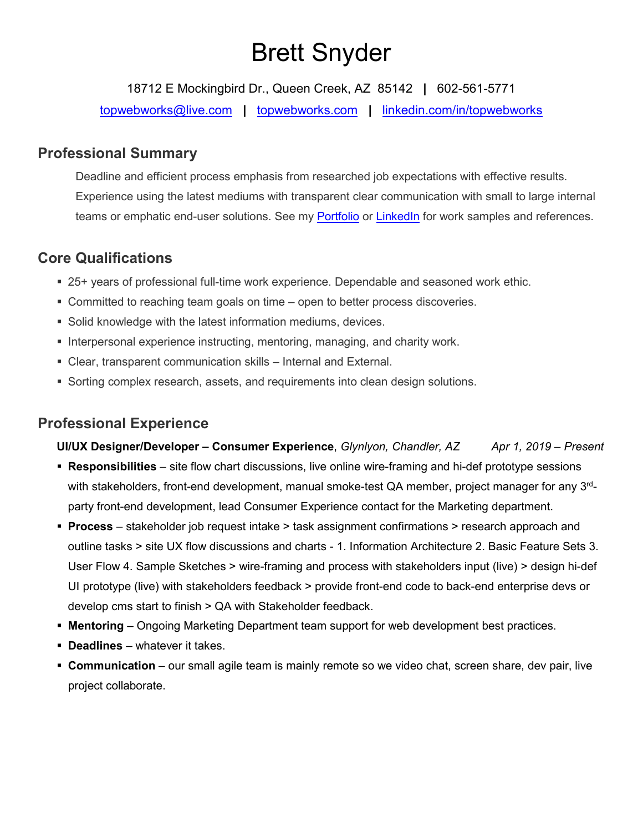# Brett Snyder

18712 E Mockingbird Dr., Queen Creek, AZ 85142 **|** 602-561-5771

[topwebworks@live.com](mailto:topwebworks@live.com) **|** [topwebworks.com](http://www.topwebworks.com/) **|** [linkedin.com/in/topwebworks](http://www.linkedin.com/in/topwebworks)

# **Professional Summary**

Deadline and efficient process emphasis from researched job expectations with effective results. Experience using the latest mediums with transparent clear communication with small to large internal teams or emphatic end-user solutions. See my [Portfolio](http://www.topwebworks.com/) or [LinkedIn](https://www.linkedin.com/in/topwebworks/) for work samples and references.

# **Core Qualifications**

- 25+ years of professional full-time work experience. Dependable and seasoned work ethic.
- Committed to reaching team goals on time open to better process discoveries.
- Solid knowledge with the latest information mediums, devices.
- Interpersonal experience instructing, mentoring, managing, and charity work.
- Clear, transparent communication skills Internal and External.
- **Sorting complex research, assets, and requirements into clean design solutions.**

# **Professional Experience**

**UI/UX Designer/Developer – Consumer Experience**, *Glynlyon, Chandler, AZ Apr 1, 2019 – Present*

- **Responsibilities** site flow chart discussions, live online wire-framing and hi-def prototype sessions with stakeholders, front-end development, manual smoke-test QA member, project manager for any 3<sup>rd</sup>party front-end development, lead Consumer Experience contact for the Marketing department.
- **Process** stakeholder job request intake > task assignment confirmations > research approach and outline tasks > site UX flow discussions and charts - 1. Information Architecture 2. Basic Feature Sets 3. User Flow 4. Sample Sketches > wire-framing and process with stakeholders input (live) > design hi-def UI prototype (live) with stakeholders feedback > provide front-end code to back-end enterprise devs or develop cms start to finish > QA with Stakeholder feedback.
- **Mentoring** Ongoing Marketing Department team support for web development best practices.
- **Deadlines**  whatever it takes.
- **Communication** our small agile team is mainly remote so we video chat, screen share, dev pair, live project collaborate.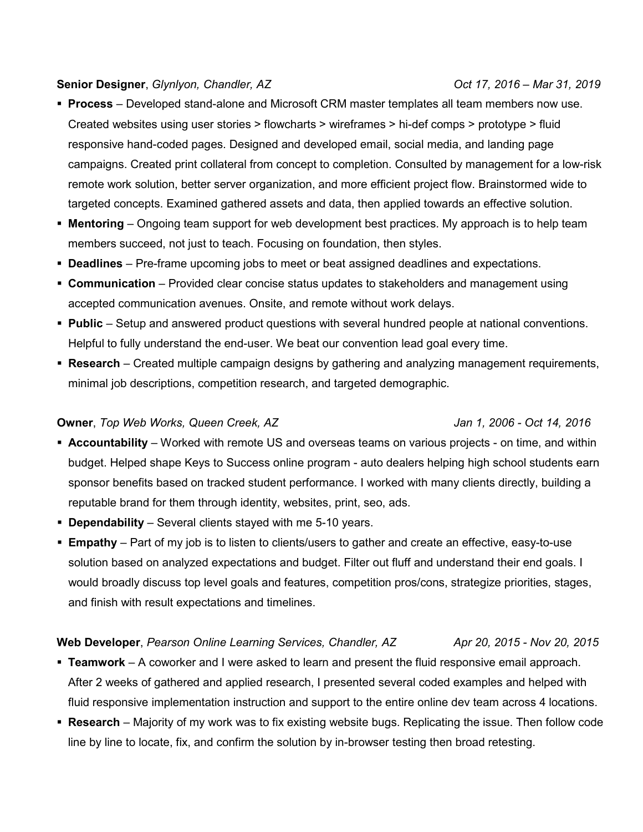#### **Senior Designer**, *Glynlyon, Chandler, AZ Oct 17, 2016 – Mar 31, 2019*

- **Process** Developed stand-alone and Microsoft CRM master templates all team members now use. Created websites using user stories > flowcharts > wireframes > hi-def comps > prototype > fluid responsive hand-coded pages. Designed and developed email, social media, and landing page campaigns. Created print collateral from concept to completion. Consulted by management for a low-risk remote work solution, better server organization, and more efficient project flow. Brainstormed wide to targeted concepts. Examined gathered assets and data, then applied towards an effective solution.
- **Mentoring** Ongoing team support for web development best practices. My approach is to help team members succeed, not just to teach. Focusing on foundation, then styles.
- **Deadlines**  Pre-frame upcoming jobs to meet or beat assigned deadlines and expectations.
- **Communication** Provided clear concise status updates to stakeholders and management using accepted communication avenues. Onsite, and remote without work delays.
- **Public** Setup and answered product questions with several hundred people at national conventions. Helpful to fully understand the end-user. We beat our convention lead goal every time.
- **Research** Created multiple campaign designs by gathering and analyzing management requirements, minimal job descriptions, competition research, and targeted demographic.

#### **Owner**, *Top Web Works, Queen Creek, AZ Jan 1, 2006 - Oct 14, 2016*

- **Accountability** Worked with remote US and overseas teams on various projects on time, and within budget. Helped shape Keys to Success online program - auto dealers helping high school students earn sponsor benefits based on tracked student performance. I worked with many clients directly, building a reputable brand for them through identity, websites, print, seo, ads.
- **Dependability** Several clients stayed with me 5-10 years.
- **Empathy** Part of my job is to listen to clients/users to gather and create an effective, easy-to-use solution based on analyzed expectations and budget. Filter out fluff and understand their end goals. I would broadly discuss top level goals and features, competition pros/cons, strategize priorities, stages, and finish with result expectations and timelines.

### **Web Developer**, Pearson Online Learning Services, Chandler, AZ Apr 20, 2015 - Nov 20, 2015

- **Teamwork** A coworker and I were asked to learn and present the fluid responsive email approach. After 2 weeks of gathered and applied research, I presented several coded examples and helped with fluid responsive implementation instruction and support to the entire online dev team across 4 locations.
- **Research** Majority of my work was to fix existing website bugs. Replicating the issue. Then follow code line by line to locate, fix, and confirm the solution by in-browser testing then broad retesting.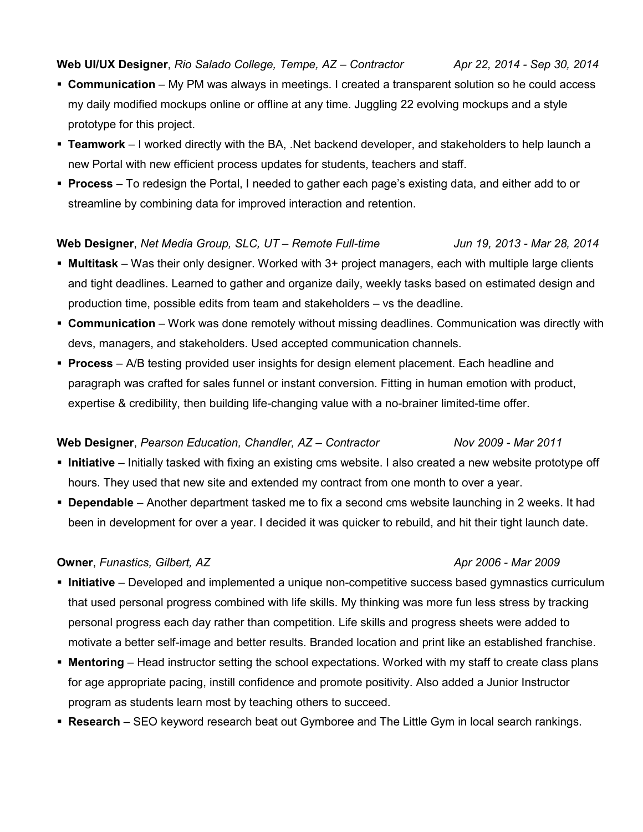### **Web UI/UX Designer**, *Rio Salado College, Tempe, AZ – Contractor Apr 22, 2014 - Sep 30, 2014*

- **Communication** My PM was always in meetings. I created a transparent solution so he could access my daily modified mockups online or offline at any time. Juggling 22 evolving mockups and a style prototype for this project.
- **Teamwork** I worked directly with the BA, .Net backend developer, and stakeholders to help launch a new Portal with new efficient process updates for students, teachers and staff.
- **Process** To redesign the Portal, I needed to gather each page's existing data, and either add to or streamline by combining data for improved interaction and retention.

#### **Web Designer**, *Net Media Group, SLC, UT – Remote Full-time Jun 19, 2013 - Mar 28, 2014*

- **Multitask** Was their only designer. Worked with 3+ project managers, each with multiple large clients and tight deadlines. Learned to gather and organize daily, weekly tasks based on estimated design and production time, possible edits from team and stakeholders – vs the deadline.
- **Communication** Work was done remotely without missing deadlines. Communication was directly with devs, managers, and stakeholders. Used accepted communication channels.
- **Process** A/B testing provided user insights for design element placement. Each headline and paragraph was crafted for sales funnel or instant conversion. Fitting in human emotion with product, expertise & credibility, then building life-changing value with a no-brainer limited-time offer.

### **Web Designer**, *Pearson Education, Chandler, AZ – Contractor Nov 2009 - Mar 2011*

- **Initiative** Initially tasked with fixing an existing cms website. I also created a new website prototype off hours. They used that new site and extended my contract from one month to over a year.
- **Dependable** Another department tasked me to fix a second cms website launching in 2 weeks. It had been in development for over a year. I decided it was quicker to rebuild, and hit their tight launch date.

#### **Owner**, *Funastics, Gilbert, AZ* Apr<sup>2006</sup> - *Mar 2009*

- **Initiative** Developed and implemented a unique non-competitive success based gymnastics curriculum that used personal progress combined with life skills. My thinking was more fun less stress by tracking personal progress each day rather than competition. Life skills and progress sheets were added to motivate a better self-image and better results. Branded location and print like an established franchise.
- **Mentoring** Head instructor setting the school expectations. Worked with my staff to create class plans for age appropriate pacing, instill confidence and promote positivity. Also added a Junior Instructor program as students learn most by teaching others to succeed.
- **Research** SEO keyword research beat out Gymboree and The Little Gym in local search rankings.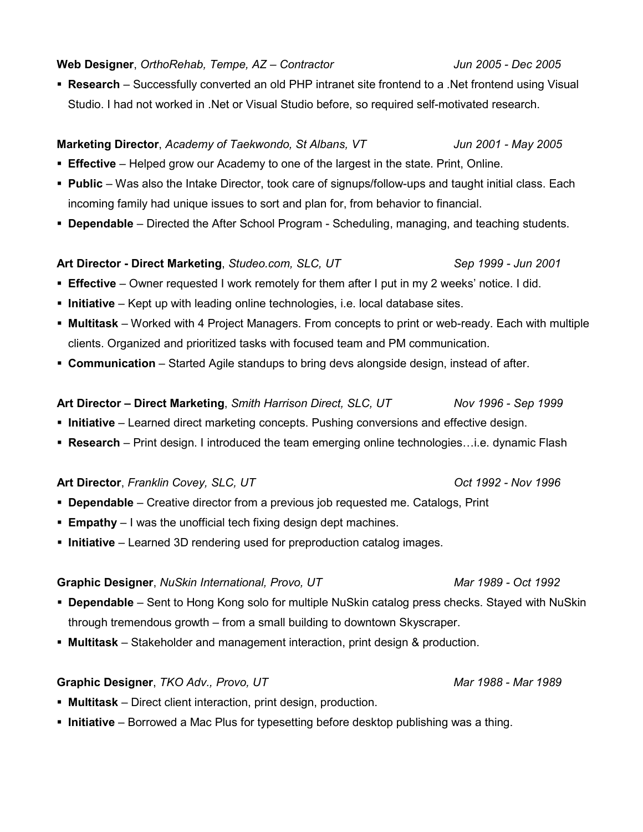#### **Web Designer**, *OrthoRehab, Tempe, AZ – Contractor Jun 2005 - Dec 2005*

 **Research** – Successfully converted an old PHP intranet site frontend to a .Net frontend using Visual Studio. I had not worked in .Net or Visual Studio before, so required self-motivated research.

### **Marketing Director**, *Academy of Taekwondo, St Albans, VT Jun 2001 - May 2005*

- **Effective** Helped grow our Academy to one of the largest in the state. Print, Online.
- **Public** Was also the Intake Director, took care of signups/follow-ups and taught initial class. Each incoming family had unique issues to sort and plan for, from behavior to financial.
- **Dependable**  Directed the After School Program Scheduling, managing, and teaching students.

### **Art Director - Direct Marketing**, *Studeo.com, SLC, UT Sep 1999 - Jun 2001*

- **Effective** Owner requested I work remotely for them after I put in my 2 weeks' notice. I did.
- **Initiative** Kept up with leading online technologies, i.e. local database sites.
- **Multitask** Worked with 4 Project Managers. From concepts to print or web-ready. Each with multiple clients. Organized and prioritized tasks with focused team and PM communication.
- **Communication** Started Agile standups to bring devs alongside design, instead of after.

### **Art Director – Direct Marketing**, *Smith Harrison Direct, SLC, UT Nov 1996 - Sep 1999*

- **Initiative** Learned direct marketing concepts. Pushing conversions and effective design.
- **Research** Print design. I introduced the team emerging online technologies…i.e. dynamic Flash

**Art Director**, *Franklin Covey, SLC, UT Oct 1992 - Nov 1996*

- **Dependable** Creative director from a previous job requested me. Catalogs, Print
- **Empathy** I was the unofficial tech fixing design dept machines.
- **Initiative** Learned 3D rendering used for preproduction catalog images.

#### **Graphic Designer**, *NuSkin International, Provo, UT Mar 1989 - Oct 1992*

- **Dependable** Sent to Hong Kong solo for multiple NuSkin catalog press checks. Stayed with NuSkin through tremendous growth – from a small building to downtown Skyscraper.
- **Multitask** Stakeholder and management interaction, print design & production.

#### **Graphic Designer**, *TKO Adv., Provo, UT Mar 1988 - Mar 1989*

- **Multitask** Direct client interaction, print design, production.
- **Initiative** Borrowed a Mac Plus for typesetting before desktop publishing was a thing.